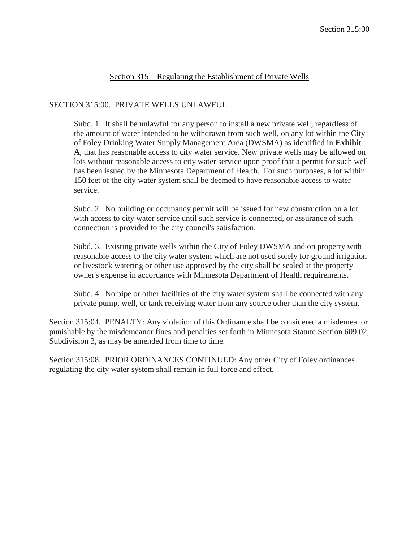## Section 315 – Regulating the Establishment of Private Wells

## SECTION 315:00. PRIVATE WELLS UNLAWFUL

Subd. 1. It shall be unlawful for any person to install a new private well, regardless of the amount of water intended to be withdrawn from such well, on any lot within the City of Foley Drinking Water Supply Management Area (DWSMA) as identified in **Exhibit A**, that has reasonable access to city water service. New private wells may be allowed on lots without reasonable access to city water service upon proof that a permit for such well has been issued by the Minnesota Department of Health. For such purposes, a lot within 150 feet of the city water system shall be deemed to have reasonable access to water service.

Subd. 2. No building or occupancy permit will be issued for new construction on a lot with access to city water service until such service is connected, or assurance of such connection is provided to the city council's satisfaction.

Subd. 3. Existing private wells within the City of Foley DWSMA and on property with reasonable access to the city water system which are not used solely for ground irrigation or livestock watering or other use approved by the city shall be sealed at the property owner's expense in accordance with Minnesota Department of Health requirements.

Subd. 4. No pipe or other facilities of the city water system shall be connected with any private pump, well, or tank receiving water from any source other than the city system.

Section 315:04. PENALTY: Any violation of this Ordinance shall be considered a misdemeanor punishable by the misdemeanor fines and penalties set forth in Minnesota Statute Section 609.02, Subdivision 3, as may be amended from time to time.

Section 315:08. PRIOR ORDINANCES CONTINUED: Any other City of Foley ordinances regulating the city water system shall remain in full force and effect.